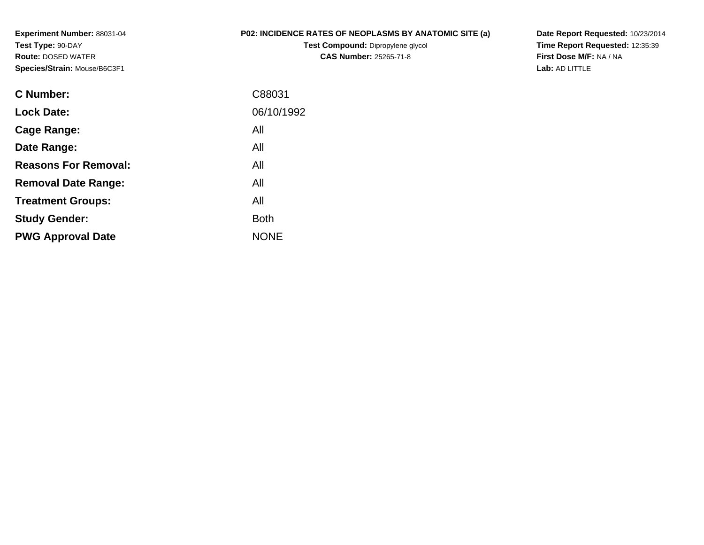**Experiment Number:** 88031-04**Test Type:** 90-DAY **Route:** DOSED WATER**Species/Strain:** Mouse/B6C3F1

## **P02: INCIDENCE RATES OF NEOPLASMS BY ANATOMIC SITE (a)**

**Test Compound:** Dipropylene glycol **CAS Number:** 25265-71-8

**Date Report Requested:** 10/23/2014 **Time Report Requested:** 12:35:39**First Dose M/F:** NA / NA**Lab:** AD LITTLE

| C Number:                   | C88031      |
|-----------------------------|-------------|
| <b>Lock Date:</b>           | 06/10/1992  |
| Cage Range:                 | All         |
| Date Range:                 | All         |
| <b>Reasons For Removal:</b> | All         |
| <b>Removal Date Range:</b>  | All         |
| <b>Treatment Groups:</b>    | All         |
| <b>Study Gender:</b>        | Both        |
| <b>PWG Approval Date</b>    | <b>NONE</b> |
|                             |             |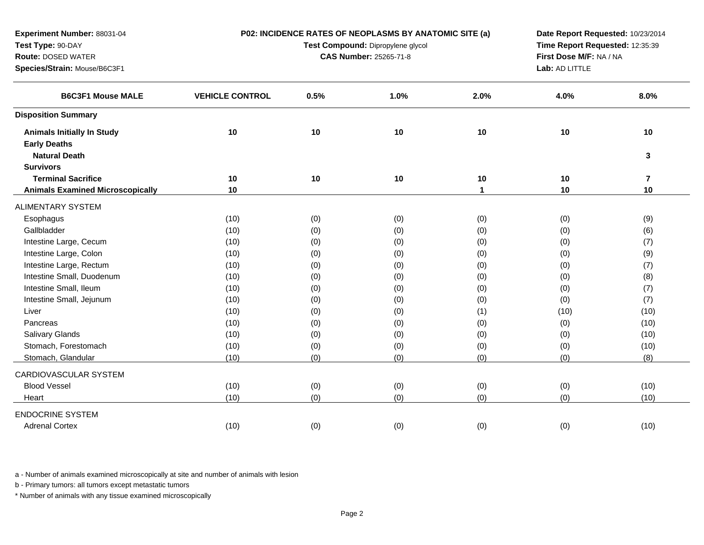| Experiment Number: 88031-04             | P02: INCIDENCE RATES OF NEOPLASMS BY ANATOMIC SITE (a) |      |                               | Date Report Requested: 10/23/2014 |                         |                |
|-----------------------------------------|--------------------------------------------------------|------|-------------------------------|-----------------------------------|-------------------------|----------------|
| Test Type: 90-DAY                       | Test Compound: Dipropylene glycol                      |      |                               | Time Report Requested: 12:35:39   |                         |                |
| <b>Route: DOSED WATER</b>               |                                                        |      | <b>CAS Number: 25265-71-8</b> |                                   | First Dose M/F: NA / NA |                |
| Species/Strain: Mouse/B6C3F1            |                                                        |      |                               | Lab: AD LITTLE                    |                         |                |
| <b>B6C3F1 Mouse MALE</b>                | <b>VEHICLE CONTROL</b>                                 | 0.5% | 1.0%                          | 2.0%                              | 4.0%                    | 8.0%           |
| <b>Disposition Summary</b>              |                                                        |      |                               |                                   |                         |                |
| <b>Animals Initially In Study</b>       | 10                                                     | 10   | 10                            | 10                                | 10                      | $10$           |
| <b>Early Deaths</b>                     |                                                        |      |                               |                                   |                         |                |
| <b>Natural Death</b>                    |                                                        |      |                               |                                   |                         | 3              |
| <b>Survivors</b>                        |                                                        |      |                               |                                   |                         |                |
| <b>Terminal Sacrifice</b>               | 10                                                     | 10   | 10                            | 10                                | 10                      | $\overline{7}$ |
| <b>Animals Examined Microscopically</b> | 10                                                     |      |                               | 1                                 | 10                      | 10             |
| ALIMENTARY SYSTEM                       |                                                        |      |                               |                                   |                         |                |
| Esophagus                               | (10)                                                   | (0)  | (0)                           | (0)                               | (0)                     | (9)            |
| Gallbladder                             | (10)                                                   | (0)  | (0)                           | (0)                               | (0)                     | (6)            |
| Intestine Large, Cecum                  | (10)                                                   | (0)  | (0)                           | (0)                               | (0)                     | (7)            |
| Intestine Large, Colon                  | (10)                                                   | (0)  | (0)                           | (0)                               | (0)                     | (9)            |
| Intestine Large, Rectum                 | (10)                                                   | (0)  | (0)                           | (0)                               | (0)                     | (7)            |
| Intestine Small, Duodenum               | (10)                                                   | (0)  | (0)                           | (0)                               | (0)                     | (8)            |
| Intestine Small, Ileum                  | (10)                                                   | (0)  | (0)                           | (0)                               | (0)                     | (7)            |
| Intestine Small, Jejunum                | (10)                                                   | (0)  | (0)                           | (0)                               | (0)                     | (7)            |
| Liver                                   | (10)                                                   | (0)  | (0)                           | (1)                               | (10)                    | (10)           |
| Pancreas                                | (10)                                                   | (0)  | (0)                           | (0)                               | (0)                     | (10)           |
| <b>Salivary Glands</b>                  | (10)                                                   | (0)  | (0)                           | (0)                               | (0)                     | (10)           |
| Stomach, Forestomach                    | (10)                                                   | (0)  | (0)                           | (0)                               | (0)                     | (10)           |
| Stomach, Glandular                      | (10)                                                   | (0)  | (0)                           | (0)                               | (0)                     | (8)            |
| CARDIOVASCULAR SYSTEM                   |                                                        |      |                               |                                   |                         |                |
| <b>Blood Vessel</b>                     | (10)                                                   | (0)  | (0)                           | (0)                               | (0)                     | (10)           |
| Heart                                   | (10)                                                   | (0)  | (0)                           | (0)                               | (0)                     | (10)           |
| <b>ENDOCRINE SYSTEM</b>                 |                                                        |      |                               |                                   |                         |                |
| <b>Adrenal Cortex</b>                   | (10)                                                   | (0)  | (0)                           | (0)                               | (0)                     | (10)           |

b - Primary tumors: all tumors except metastatic tumors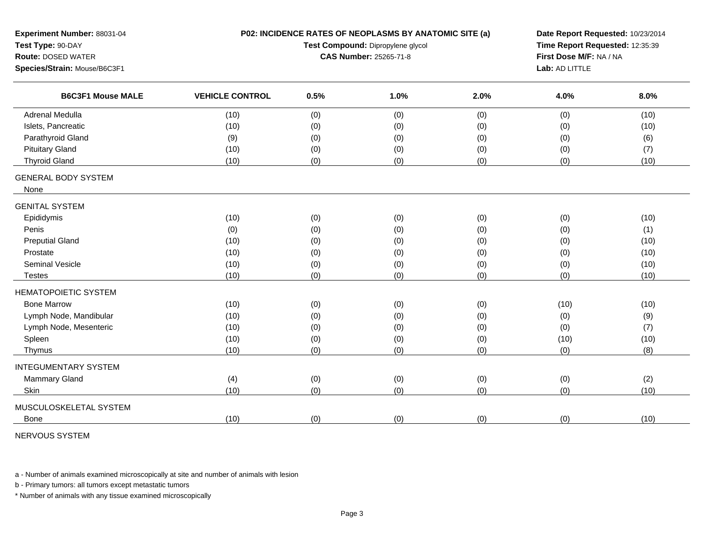| Experiment Number: 88031-04<br>Test Type: 90-DAY<br><b>Route: DOSED WATER</b><br>Species/Strain: Mouse/B6C3F1 |                        |      | P02: INCIDENCE RATES OF NEOPLASMS BY ANATOMIC SITE (a)<br>Date Report Requested: 10/23/2014<br>Time Report Requested: 12:35:39<br>Test Compound: Dipropylene glycol<br>First Dose M/F: NA / NA<br><b>CAS Number: 25265-71-8</b><br>Lab: AD LITTLE |      |      |      |
|---------------------------------------------------------------------------------------------------------------|------------------------|------|---------------------------------------------------------------------------------------------------------------------------------------------------------------------------------------------------------------------------------------------------|------|------|------|
| <b>B6C3F1 Mouse MALE</b>                                                                                      | <b>VEHICLE CONTROL</b> | 0.5% | 1.0%                                                                                                                                                                                                                                              | 2.0% | 4.0% | 8.0% |
| <b>Adrenal Medulla</b>                                                                                        | (10)                   | (0)  | (0)                                                                                                                                                                                                                                               | (0)  | (0)  | (10) |
| Islets, Pancreatic                                                                                            | (10)                   | (0)  | (0)                                                                                                                                                                                                                                               | (0)  | (0)  | (10) |
| Parathyroid Gland                                                                                             | (9)                    | (0)  | (0)                                                                                                                                                                                                                                               | (0)  | (0)  | (6)  |
| <b>Pituitary Gland</b>                                                                                        | (10)                   | (0)  | (0)                                                                                                                                                                                                                                               | (0)  | (0)  | (7)  |
| <b>Thyroid Gland</b>                                                                                          | (10)                   | (0)  | (0)                                                                                                                                                                                                                                               | (0)  | (0)  | (10) |
| <b>GENERAL BODY SYSTEM</b><br>None                                                                            |                        |      |                                                                                                                                                                                                                                                   |      |      |      |
| <b>GENITAL SYSTEM</b>                                                                                         |                        |      |                                                                                                                                                                                                                                                   |      |      |      |
| Epididymis                                                                                                    | (10)                   | (0)  | (0)                                                                                                                                                                                                                                               | (0)  | (0)  | (10) |
| Penis                                                                                                         | (0)                    | (0)  | (0)                                                                                                                                                                                                                                               | (0)  | (0)  | (1)  |
| <b>Preputial Gland</b>                                                                                        | (10)                   | (0)  | (0)                                                                                                                                                                                                                                               | (0)  | (0)  | (10) |
| Prostate                                                                                                      | (10)                   | (0)  | (0)                                                                                                                                                                                                                                               | (0)  | (0)  | (10) |
| <b>Seminal Vesicle</b>                                                                                        | (10)                   | (0)  | (0)                                                                                                                                                                                                                                               | (0)  | (0)  | (10) |
| <b>Testes</b>                                                                                                 | (10)                   | (0)  | (0)                                                                                                                                                                                                                                               | (0)  | (0)  | (10) |
| <b>HEMATOPOIETIC SYSTEM</b>                                                                                   |                        |      |                                                                                                                                                                                                                                                   |      |      |      |
| <b>Bone Marrow</b>                                                                                            | (10)                   | (0)  | (0)                                                                                                                                                                                                                                               | (0)  | (10) | (10) |
| Lymph Node, Mandibular                                                                                        | (10)                   | (0)  | (0)                                                                                                                                                                                                                                               | (0)  | (0)  | (9)  |
| Lymph Node, Mesenteric                                                                                        | (10)                   | (0)  | (0)                                                                                                                                                                                                                                               | (0)  | (0)  | (7)  |
| Spleen                                                                                                        | (10)                   | (0)  | (0)                                                                                                                                                                                                                                               | (0)  | (10) | (10) |
| Thymus                                                                                                        | (10)                   | (0)  | (0)                                                                                                                                                                                                                                               | (0)  | (0)  | (8)  |
| <b>INTEGUMENTARY SYSTEM</b>                                                                                   |                        |      |                                                                                                                                                                                                                                                   |      |      |      |
| <b>Mammary Gland</b>                                                                                          | (4)                    | (0)  | (0)                                                                                                                                                                                                                                               | (0)  | (0)  | (2)  |
| Skin                                                                                                          | (10)                   | (0)  | (0)                                                                                                                                                                                                                                               | (0)  | (0)  | (10) |
| MUSCULOSKELETAL SYSTEM                                                                                        |                        |      |                                                                                                                                                                                                                                                   |      |      |      |
| <b>Bone</b>                                                                                                   | (10)                   | (0)  | (0)                                                                                                                                                                                                                                               | (0)  | (0)  | (10) |
|                                                                                                               |                        |      |                                                                                                                                                                                                                                                   |      |      |      |

NERVOUS SYSTEM

a - Number of animals examined microscopically at site and number of animals with lesion

b - Primary tumors: all tumors except metastatic tumors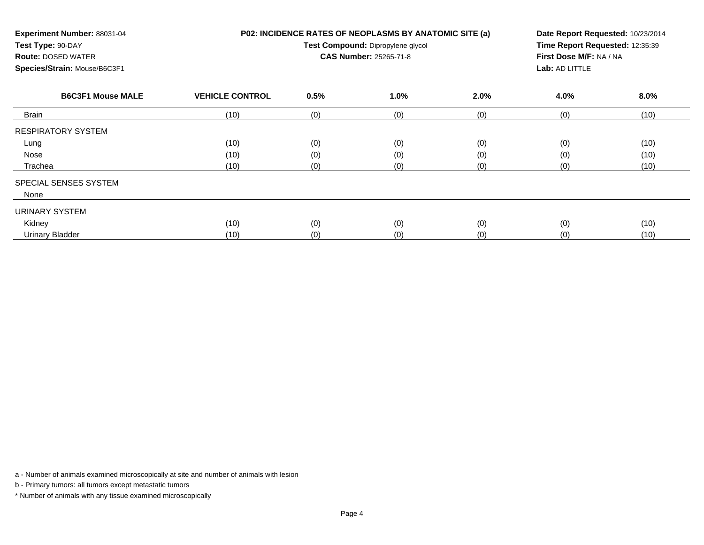| Experiment Number: 88031-04<br>Test Type: 90-DAY<br><b>Route: DOSED WATER</b><br>Species/Strain: Mouse/B6C3F1 |                        | P02: INCIDENCE RATES OF NEOPLASMS BY ANATOMIC SITE (a)<br>Test Compound: Dipropylene glycol<br><b>CAS Number: 25265-71-8</b> | Lab: AD LITTLE | Date Report Requested: 10/23/2014<br>Time Report Requested: 12:35:39<br>First Dose M/F: NA / NA |      |      |
|---------------------------------------------------------------------------------------------------------------|------------------------|------------------------------------------------------------------------------------------------------------------------------|----------------|-------------------------------------------------------------------------------------------------|------|------|
| <b>B6C3F1 Mouse MALE</b>                                                                                      | <b>VEHICLE CONTROL</b> | 0.5%                                                                                                                         | 1.0%           | 2.0%                                                                                            | 4.0% | 8.0% |
| Brain                                                                                                         | (10)                   | (0)                                                                                                                          | (0)            | (0)                                                                                             | (0)  | (10) |
| <b>RESPIRATORY SYSTEM</b>                                                                                     |                        |                                                                                                                              |                |                                                                                                 |      |      |
| Lung                                                                                                          | (10)                   | (0)                                                                                                                          | (0)            | (0)                                                                                             | (0)  | (10) |
| Nose                                                                                                          | (10)                   | (0)                                                                                                                          | (0)            | (0)                                                                                             | (0)  | (10) |
| Trachea                                                                                                       | (10)                   | (0)                                                                                                                          | (0)            | (0)                                                                                             | (0)  | (10) |
| SPECIAL SENSES SYSTEM<br>None                                                                                 |                        |                                                                                                                              |                |                                                                                                 |      |      |
| <b>URINARY SYSTEM</b>                                                                                         |                        |                                                                                                                              |                |                                                                                                 |      |      |
| Kidney                                                                                                        | (10)                   | (0)                                                                                                                          | (0)            | (0)                                                                                             | (0)  | (10) |
| <b>Urinary Bladder</b>                                                                                        | (10)                   | (0)                                                                                                                          | (0)            | (0)                                                                                             | (0)  | (10) |

b - Primary tumors: all tumors except metastatic tumors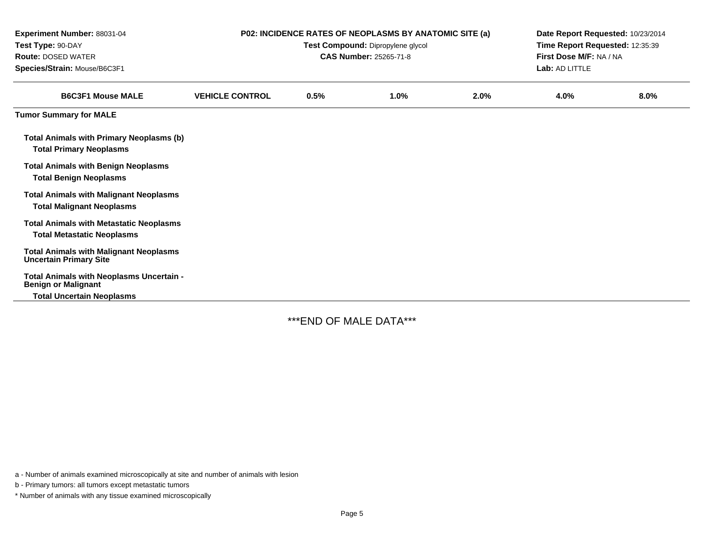| Experiment Number: 88031-04<br>Test Type: 90-DAY<br><b>Route: DOSED WATER</b><br>Species/Strain: Mouse/B6C3F1 |                        | P02: INCIDENCE RATES OF NEOPLASMS BY ANATOMIC SITE (a)<br>Test Compound: Dipropylene glycol<br><b>CAS Number: 25265-71-8</b> | Date Report Requested: 10/23/2014<br>Time Report Requested: 12:35:39<br>First Dose M/F: NA / NA<br>Lab: AD LITTLE |      |      |      |
|---------------------------------------------------------------------------------------------------------------|------------------------|------------------------------------------------------------------------------------------------------------------------------|-------------------------------------------------------------------------------------------------------------------|------|------|------|
| <b>B6C3F1 Mouse MALE</b>                                                                                      | <b>VEHICLE CONTROL</b> | 0.5%                                                                                                                         | 1.0%                                                                                                              | 2.0% | 4.0% | 8.0% |
| <b>Tumor Summary for MALE</b>                                                                                 |                        |                                                                                                                              |                                                                                                                   |      |      |      |
| <b>Total Animals with Primary Neoplasms (b)</b><br><b>Total Primary Neoplasms</b>                             |                        |                                                                                                                              |                                                                                                                   |      |      |      |
| <b>Total Animals with Benign Neoplasms</b><br><b>Total Benign Neoplasms</b>                                   |                        |                                                                                                                              |                                                                                                                   |      |      |      |
| <b>Total Animals with Malignant Neoplasms</b><br><b>Total Malignant Neoplasms</b>                             |                        |                                                                                                                              |                                                                                                                   |      |      |      |
| <b>Total Animals with Metastatic Neoplasms</b><br><b>Total Metastatic Neoplasms</b>                           |                        |                                                                                                                              |                                                                                                                   |      |      |      |
| <b>Total Animals with Malignant Neoplasms</b><br><b>Uncertain Primary Site</b>                                |                        |                                                                                                                              |                                                                                                                   |      |      |      |
| Total Animals with Neoplasms Uncertain -<br><b>Benign or Malignant</b>                                        |                        |                                                                                                                              |                                                                                                                   |      |      |      |
| <b>Total Uncertain Neoplasms</b>                                                                              |                        |                                                                                                                              |                                                                                                                   |      |      |      |

\*\*\*END OF MALE DATA\*\*\*

a - Number of animals examined microscopically at site and number of animals with lesion

b - Primary tumors: all tumors except metastatic tumors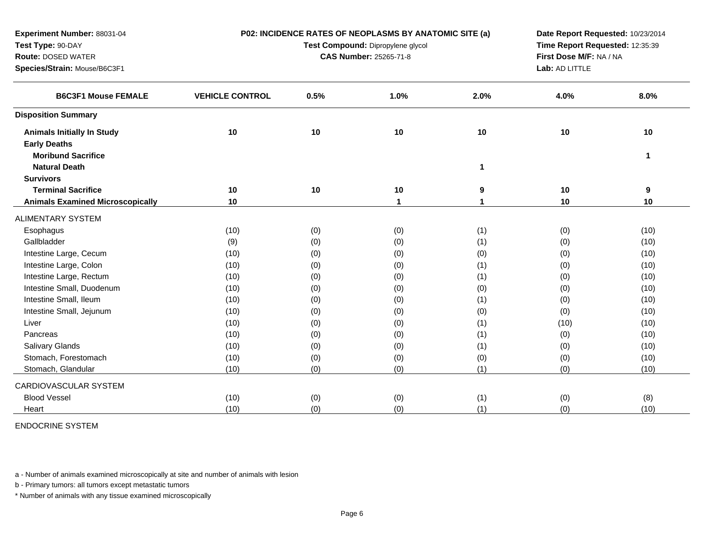| Experiment Number: 88031-04                              | P02: INCIDENCE RATES OF NEOPLASMS BY ANATOMIC SITE (a) |                                 |                        |      | Date Report Requested: 10/23/2014 |      |  |
|----------------------------------------------------------|--------------------------------------------------------|---------------------------------|------------------------|------|-----------------------------------|------|--|
| Test Type: 90-DAY                                        |                                                        | Time Report Requested: 12:35:39 |                        |      |                                   |      |  |
| <b>Route: DOSED WATER</b>                                |                                                        |                                 | CAS Number: 25265-71-8 |      | First Dose M/F: NA / NA           |      |  |
| Species/Strain: Mouse/B6C3F1                             |                                                        |                                 |                        |      | Lab: AD LITTLE                    |      |  |
| <b>B6C3F1 Mouse FEMALE</b>                               | <b>VEHICLE CONTROL</b>                                 | 0.5%                            | 1.0%                   | 2.0% | 4.0%                              | 8.0% |  |
| <b>Disposition Summary</b>                               |                                                        |                                 |                        |      |                                   |      |  |
| <b>Animals Initially In Study</b><br><b>Early Deaths</b> | 10                                                     | 10                              | 10                     | 10   | 10                                | 10   |  |
| <b>Moribund Sacrifice</b>                                |                                                        |                                 |                        |      |                                   | 1    |  |
| <b>Natural Death</b>                                     |                                                        |                                 |                        | 1    |                                   |      |  |
| <b>Survivors</b>                                         |                                                        |                                 |                        |      |                                   |      |  |
| <b>Terminal Sacrifice</b>                                | 10                                                     | 10                              | 10                     | 9    | 10                                | 9    |  |
| <b>Animals Examined Microscopically</b>                  | 10                                                     |                                 | $\mathbf 1$            | 1    | 10                                | 10   |  |
| <b>ALIMENTARY SYSTEM</b>                                 |                                                        |                                 |                        |      |                                   |      |  |
| Esophagus                                                | (10)                                                   | (0)                             | (0)                    | (1)  | (0)                               | (10) |  |
| Gallbladder                                              | (9)                                                    | (0)                             | (0)                    | (1)  | (0)                               | (10) |  |
| Intestine Large, Cecum                                   | (10)                                                   | (0)                             | (0)                    | (0)  | (0)                               | (10) |  |
| Intestine Large, Colon                                   | (10)                                                   | (0)                             | (0)                    | (1)  | (0)                               | (10) |  |
| Intestine Large, Rectum                                  | (10)                                                   | (0)                             | (0)                    | (1)  | (0)                               | (10) |  |
| Intestine Small, Duodenum                                | (10)                                                   | (0)                             | (0)                    | (0)  | (0)                               | (10) |  |
| Intestine Small, Ileum                                   | (10)                                                   | (0)                             | (0)                    | (1)  | (0)                               | (10) |  |
| Intestine Small, Jejunum                                 | (10)                                                   | (0)                             | (0)                    | (0)  | (0)                               | (10) |  |
| Liver                                                    | (10)                                                   | (0)                             | (0)                    | (1)  | (10)                              | (10) |  |
| Pancreas                                                 | (10)                                                   | (0)                             | (0)                    | (1)  | (0)                               | (10) |  |
| Salivary Glands                                          | (10)                                                   | (0)                             | (0)                    | (1)  | (0)                               | (10) |  |
| Stomach, Forestomach                                     | (10)                                                   | (0)                             | (0)                    | (0)  | (0)                               | (10) |  |
| Stomach, Glandular                                       | (10)                                                   | (0)                             | (0)                    | (1)  | (0)                               | (10) |  |
| CARDIOVASCULAR SYSTEM                                    |                                                        |                                 |                        |      |                                   |      |  |
| <b>Blood Vessel</b>                                      | (10)                                                   | (0)                             | (0)                    | (1)  | (0)                               | (8)  |  |
| Heart                                                    | (10)                                                   | (0)                             | (0)                    | (1)  | (0)                               | (10) |  |

ENDOCRINE SYSTEM

a - Number of animals examined microscopically at site and number of animals with lesion

b - Primary tumors: all tumors except metastatic tumors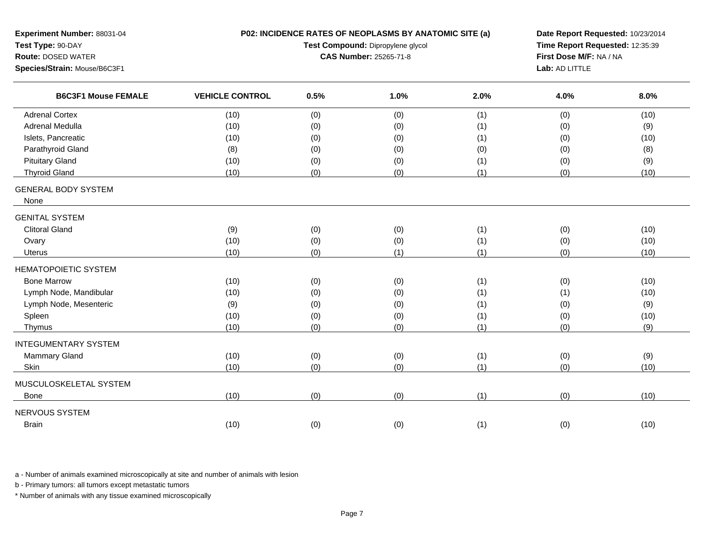| <b>Route: DOSED WATER</b><br>Species/Strain: Mouse/B6C3F1 |      | P02: INCIDENCE RATES OF NEOPLASMS BY ANATOMIC SITE (a)<br>Date Report Requested: 10/23/2014<br>Time Report Requested: 12:35:39<br>Test Compound: Dipropylene glycol<br>First Dose M/F: NA / NA<br>CAS Number: 25265-71-8<br>Lab: AD LITTLE |      |      |      |
|-----------------------------------------------------------|------|--------------------------------------------------------------------------------------------------------------------------------------------------------------------------------------------------------------------------------------------|------|------|------|
| <b>B6C3F1 Mouse FEMALE</b><br><b>VEHICLE CONTROL</b>      | 0.5% | 1.0%                                                                                                                                                                                                                                       | 2.0% | 4.0% | 8.0% |
| <b>Adrenal Cortex</b><br>(10)                             | (0)  | (0)                                                                                                                                                                                                                                        | (1)  | (0)  | (10) |
| <b>Adrenal Medulla</b><br>(10)                            | (0)  | (0)                                                                                                                                                                                                                                        | (1)  | (0)  | (9)  |
| Islets, Pancreatic<br>(10)                                | (0)  | (0)                                                                                                                                                                                                                                        | (1)  | (0)  | (10) |
| Parathyroid Gland<br>(8)                                  | (0)  | (0)                                                                                                                                                                                                                                        | (0)  | (0)  | (8)  |
| <b>Pituitary Gland</b><br>(10)                            | (0)  | (0)                                                                                                                                                                                                                                        | (1)  | (0)  | (9)  |
| <b>Thyroid Gland</b><br>(10)                              | (0)  | (0)                                                                                                                                                                                                                                        | (1)  | (0)  | (10) |
| <b>GENERAL BODY SYSTEM</b><br>None                        |      |                                                                                                                                                                                                                                            |      |      |      |
| <b>GENITAL SYSTEM</b>                                     |      |                                                                                                                                                                                                                                            |      |      |      |
| <b>Clitoral Gland</b><br>(9)                              | (0)  | (0)                                                                                                                                                                                                                                        | (1)  | (0)  | (10) |
| Ovary<br>(10)                                             | (0)  | (0)                                                                                                                                                                                                                                        | (1)  | (0)  | (10) |
| (10)<br>Uterus                                            | (0)  | (1)                                                                                                                                                                                                                                        | (1)  | (0)  | (10) |
| <b>HEMATOPOIETIC SYSTEM</b>                               |      |                                                                                                                                                                                                                                            |      |      |      |
| <b>Bone Marrow</b><br>(10)                                | (0)  | (0)                                                                                                                                                                                                                                        | (1)  | (0)  | (10) |
| Lymph Node, Mandibular<br>(10)                            | (0)  | (0)                                                                                                                                                                                                                                        | (1)  | (1)  | (10) |
| Lymph Node, Mesenteric<br>(9)                             | (0)  | (0)                                                                                                                                                                                                                                        | (1)  | (0)  | (9)  |
| (10)<br>Spleen                                            | (0)  | (0)                                                                                                                                                                                                                                        | (1)  | (0)  | (10) |
| (10)<br>Thymus                                            | (0)  | (0)                                                                                                                                                                                                                                        | (1)  | (0)  | (9)  |
| <b>INTEGUMENTARY SYSTEM</b>                               |      |                                                                                                                                                                                                                                            |      |      |      |
| <b>Mammary Gland</b><br>(10)                              | (0)  | (0)                                                                                                                                                                                                                                        | (1)  | (0)  | (9)  |
| (10)<br>Skin                                              | (0)  | (0)                                                                                                                                                                                                                                        | (1)  | (0)  | (10) |
| MUSCULOSKELETAL SYSTEM                                    |      |                                                                                                                                                                                                                                            |      |      |      |
| (10)<br><b>Bone</b>                                       | (0)  | (0)                                                                                                                                                                                                                                        | (1)  | (0)  | (10) |
| NERVOUS SYSTEM                                            |      |                                                                                                                                                                                                                                            |      |      |      |
| (10)<br><b>Brain</b>                                      | (0)  | (0)                                                                                                                                                                                                                                        | (1)  | (0)  | (10) |

b - Primary tumors: all tumors except metastatic tumors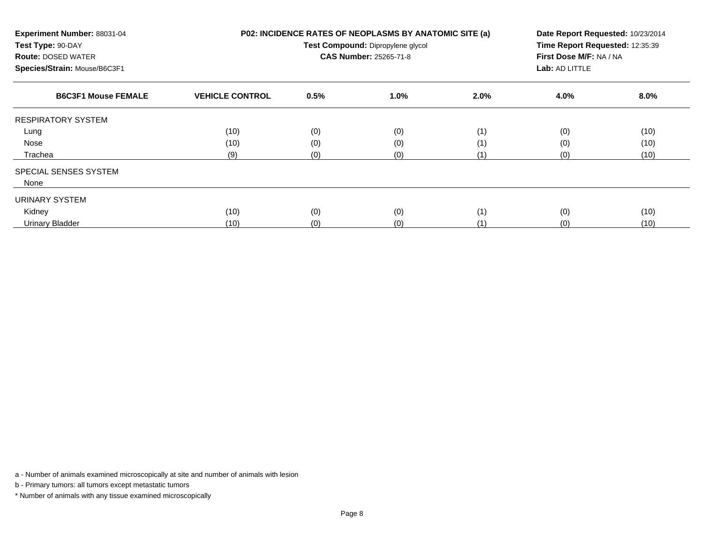| Experiment Number: 88031-04<br>Test Type: 90-DAY<br><b>Route: DOSED WATER</b><br>Species/Strain: Mouse/B6C3F1 |                        | P02: INCIDENCE RATES OF NEOPLASMS BY ANATOMIC SITE (a)<br>Date Report Requested: 10/23/2014<br>Time Report Requested: 12:35:39<br>Test Compound: Dipropylene glycol<br>First Dose M/F: NA / NA<br><b>CAS Number: 25265-71-8</b><br>Lab: AD LITTLE |      |      |      |      |
|---------------------------------------------------------------------------------------------------------------|------------------------|---------------------------------------------------------------------------------------------------------------------------------------------------------------------------------------------------------------------------------------------------|------|------|------|------|
| <b>B6C3F1 Mouse FEMALE</b>                                                                                    | <b>VEHICLE CONTROL</b> | 0.5%                                                                                                                                                                                                                                              | 1.0% | 2.0% | 4.0% | 8.0% |
| <b>RESPIRATORY SYSTEM</b>                                                                                     |                        |                                                                                                                                                                                                                                                   |      |      |      |      |
| Lung                                                                                                          | (10)                   | (0)                                                                                                                                                                                                                                               | (0)  | (1)  | (0)  | (10) |
| Nose                                                                                                          | (10)                   | (0)                                                                                                                                                                                                                                               | (0)  | (1)  | (0)  | (10) |
| Trachea                                                                                                       | (9)                    | (0)                                                                                                                                                                                                                                               | (0)  | (1)  | (0)  | (10) |
| SPECIAL SENSES SYSTEM                                                                                         |                        |                                                                                                                                                                                                                                                   |      |      |      |      |
| None                                                                                                          |                        |                                                                                                                                                                                                                                                   |      |      |      |      |
| URINARY SYSTEM                                                                                                |                        |                                                                                                                                                                                                                                                   |      |      |      |      |
| Kidney                                                                                                        | (10)                   | (0)                                                                                                                                                                                                                                               | (0)  | (1)  | (0)  | (10) |
| <b>Urinary Bladder</b>                                                                                        | (10)                   | (0)                                                                                                                                                                                                                                               | (0)  | (1)  | (0)  | (10) |

b - Primary tumors: all tumors except metastatic tumors